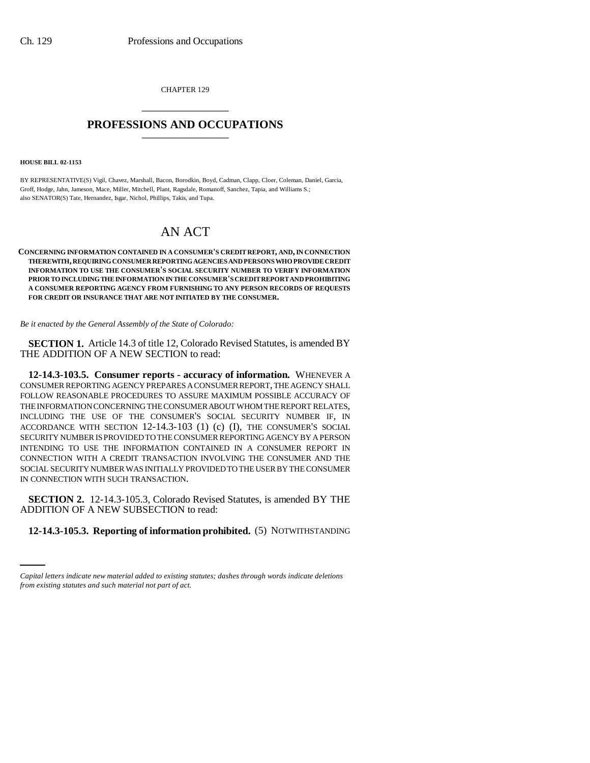CHAPTER 129 \_\_\_\_\_\_\_\_\_\_\_\_\_\_\_

## **PROFESSIONS AND OCCUPATIONS** \_\_\_\_\_\_\_\_\_\_\_\_\_\_\_

**HOUSE BILL 02-1153**

BY REPRESENTATIVE(S) Vigil, Chavez, Marshall, Bacon, Borodkin, Boyd, Cadman, Clapp, Cloer, Coleman, Daniel, Garcia, Groff, Hodge, Jahn, Jameson, Mace, Miller, Mitchell, Plant, Ragsdale, Romanoff, Sanchez, Tapia, and Williams S.; also SENATOR(S) Tate, Hernandez, Isgar, Nichol, Phillips, Takis, and Tupa.

## AN ACT

**CONCERNING INFORMATION CONTAINED IN A CONSUMER'S CREDIT REPORT, AND, IN CONNECTION THEREWITH, REQUIRING CONSUMER REPORTING AGENCIES AND PERSONS WHO PROVIDE CREDIT INFORMATION TO USE THE CONSUMER'S SOCIAL SECURITY NUMBER TO VERIFY INFORMATION PRIOR TO INCLUDING THE INFORMATION IN THE CONSUMER'S CREDIT REPORT AND PROHIBITING A CONSUMER REPORTING AGENCY FROM FURNISHING TO ANY PERSON RECORDS OF REQUESTS FOR CREDIT OR INSURANCE THAT ARE NOT INITIATED BY THE CONSUMER.**

*Be it enacted by the General Assembly of the State of Colorado:*

**SECTION 1.** Article 14.3 of title 12, Colorado Revised Statutes, is amended BY THE ADDITION OF A NEW SECTION to read:

**12-14.3-103.5. Consumer reports - accuracy of information.** WHENEVER A CONSUMER REPORTING AGENCY PREPARES A CONSUMER REPORT, THE AGENCY SHALL FOLLOW REASONABLE PROCEDURES TO ASSURE MAXIMUM POSSIBLE ACCURACY OF THE INFORMATION CONCERNING THE CONSUMER ABOUT WHOM THE REPORT RELATES, INCLUDING THE USE OF THE CONSUMER'S SOCIAL SECURITY NUMBER IF, IN ACCORDANCE WITH SECTION 12-14.3-103 (1) (c) (I), THE CONSUMER'S SOCIAL SECURITY NUMBER IS PROVIDED TO THE CONSUMER REPORTING AGENCY BY A PERSON INTENDING TO USE THE INFORMATION CONTAINED IN A CONSUMER REPORT IN CONNECTION WITH A CREDIT TRANSACTION INVOLVING THE CONSUMER AND THE SOCIAL SECURITY NUMBER WAS INITIALLY PROVIDED TO THE USER BY THE CONSUMER IN CONNECTION WITH SUCH TRANSACTION.

ADDITION OF A NEW SUBSECTION to read: **SECTION 2.** 12-14.3-105.3, Colorado Revised Statutes, is amended BY THE

## **12-14.3-105.3. Reporting of information prohibited.** (5) NOTWITHSTANDING

*Capital letters indicate new material added to existing statutes; dashes through words indicate deletions from existing statutes and such material not part of act.*